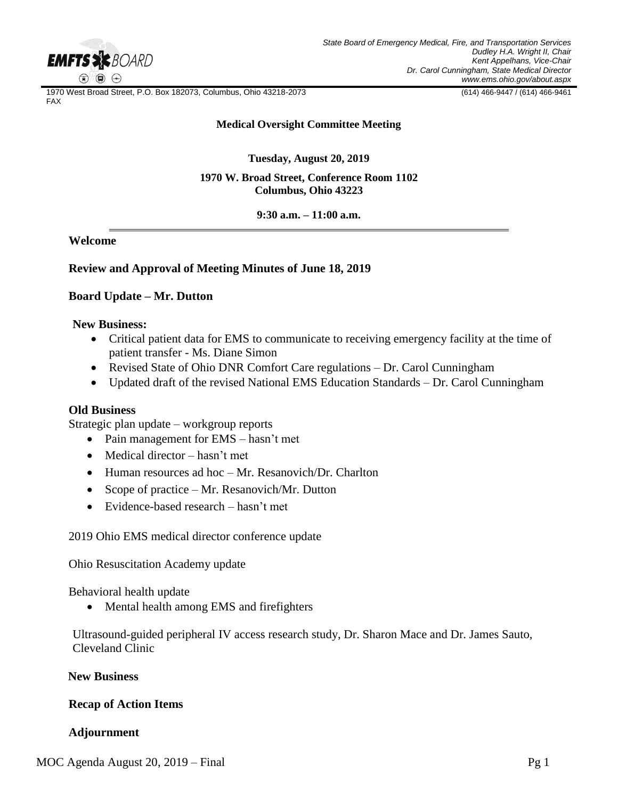

1970 West Broad Street, P.O. Box 182073, Columbus, Ohio 43218-2073 (614) 466-9447 / (614) 466-9461 FAX

#### **Medical Oversight Committee Meeting**

**Tuesday, August 20, 2019**

### **1970 W. Broad Street, Conference Room 1102 Columbus, Ohio 43223**

**9:30 a.m. – 11:00 a.m.**

**Welcome** 

## **Review and Approval of Meeting Minutes of June 18, 2019**

## **Board Update – Mr. Dutton**

### **New Business:**

- Critical patient data for EMS to communicate to receiving emergency facility at the time of patient transfer - Ms. Diane Simon
- Revised State of Ohio DNR Comfort Care regulations Dr. Carol Cunningham
- Updated draft of the revised National EMS Education Standards Dr. Carol Cunningham

## **Old Business**

Strategic plan update – workgroup reports

- Pain management for EMS hasn't met
- Medical director hasn't met
- Human resources ad hoc Mr. Resanovich/Dr. Charlton
- Scope of practice Mr. Resanovich/Mr. Dutton
- Evidence-based research hasn't met

2019 Ohio EMS medical director conference update

Ohio Resuscitation Academy update

Behavioral health update

Mental health among EMS and firefighters

Ultrasound-guided peripheral IV access research study, Dr. Sharon Mace and Dr. James Sauto, Cleveland Clinic

## **New Business**

## **Recap of Action Items**

# **Adjournment**